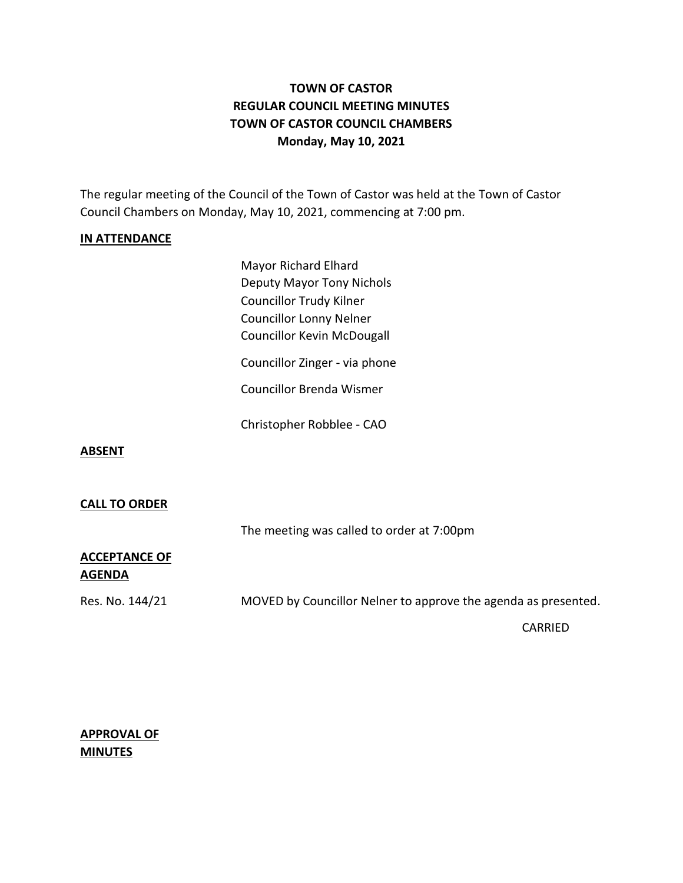# **TOWN OF CASTOR REGULAR COUNCIL MEETING MINUTES TOWN OF CASTOR COUNCIL CHAMBERS Monday, May 10, 2021**

The regular meeting of the Council of the Town of Castor was held at the Town of Castor Council Chambers on Monday, May 10, 2021, commencing at 7:00 pm.

## **IN ATTENDANCE**

Mayor Richard Elhard Deputy Mayor Tony Nichols Councillor Trudy Kilner Councillor Lonny Nelner Councillor Kevin McDougall Councillor Zinger - via phone Councillor Brenda Wismer Christopher Robblee - CAO

**ABSENT**

### **CALL TO ORDER**

The meeting was called to order at 7:00pm

## **ACCEPTANCE OF AGENDA**

Res. No. 144/21 MOVED by Councillor Nelner to approve the agenda as presented.

CARRIED

## **APPROVAL OF MINUTES**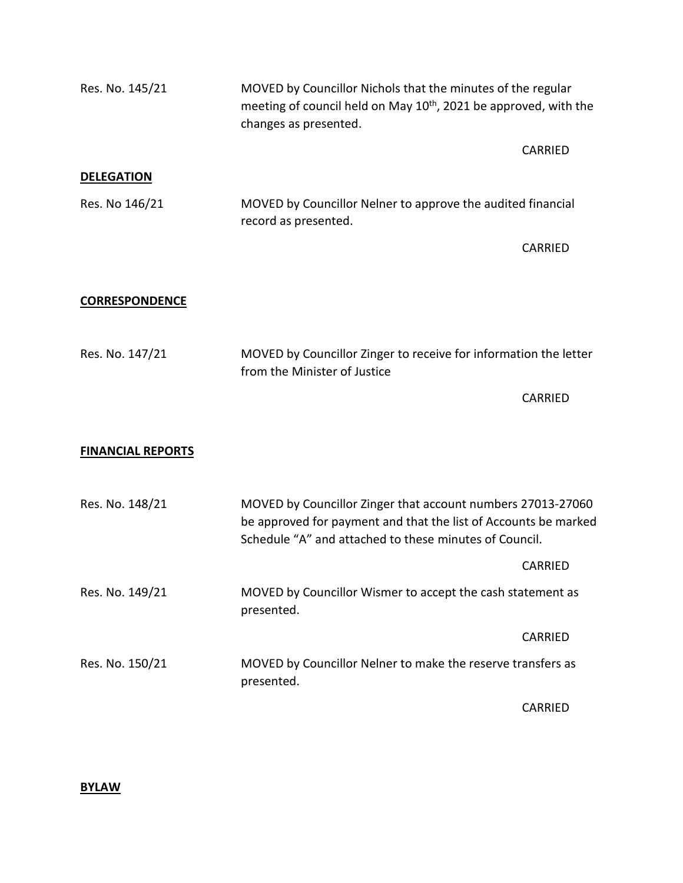| Res. No. 145/21          | MOVED by Councillor Nichols that the minutes of the regular<br>meeting of council held on May 10 <sup>th</sup> , 2021 be approved, with the<br>changes as presented.                     |                |
|--------------------------|------------------------------------------------------------------------------------------------------------------------------------------------------------------------------------------|----------------|
|                          |                                                                                                                                                                                          | <b>CARRIED</b> |
| <b>DELEGATION</b>        |                                                                                                                                                                                          |                |
| Res. No 146/21           | MOVED by Councillor Nelner to approve the audited financial<br>record as presented.                                                                                                      |                |
|                          |                                                                                                                                                                                          | CARRIED        |
| <b>CORRESPONDENCE</b>    |                                                                                                                                                                                          |                |
| Res. No. 147/21          | MOVED by Councillor Zinger to receive for information the letter<br>from the Minister of Justice                                                                                         |                |
|                          |                                                                                                                                                                                          | <b>CARRIED</b> |
| <b>FINANCIAL REPORTS</b> |                                                                                                                                                                                          |                |
| Res. No. 148/21          | MOVED by Councillor Zinger that account numbers 27013-27060<br>be approved for payment and that the list of Accounts be marked<br>Schedule "A" and attached to these minutes of Council. |                |
|                          |                                                                                                                                                                                          | <b>CARRIED</b> |
| Res. No. 149/21          | MOVED by Councillor Wismer to accept the cash statement as<br>presented.                                                                                                                 |                |
|                          |                                                                                                                                                                                          | CARRIED        |
| Res. No. 150/21          | MOVED by Councillor Nelner to make the reserve transfers as<br>presented.                                                                                                                |                |
|                          |                                                                                                                                                                                          | <b>CARRIED</b> |

# **BYLAW**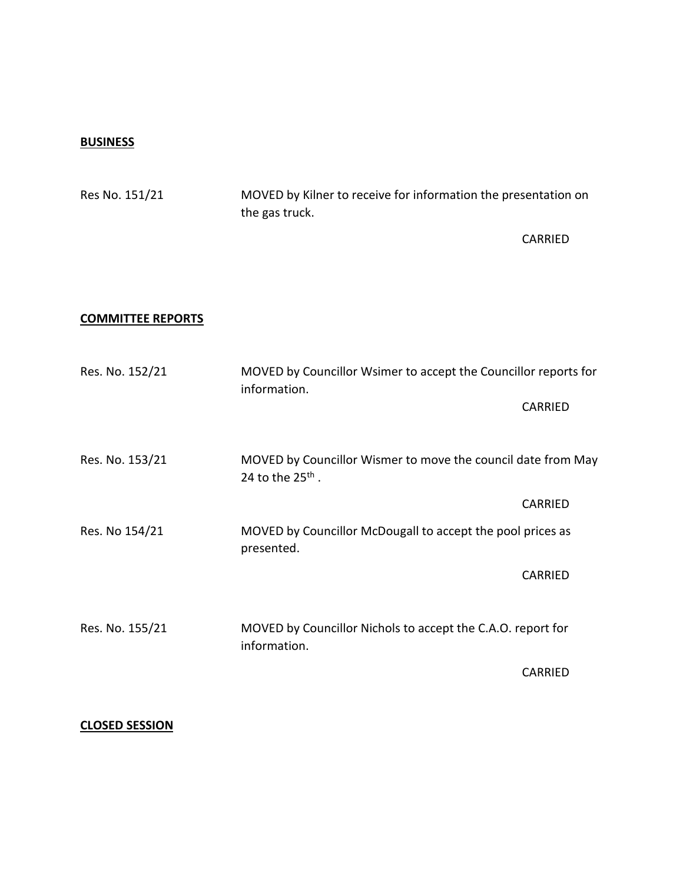#### **BUSINESS**

Res No. 151/21 MOVED by Kilner to receive for information the presentation on the gas truck. CARRIED **COMMITTEE REPORTS** Res. No. 152/21 MOVED by Councillor Wsimer to accept the Councillor reports for information. CARRIED Res. No. 153/21 MOVED by Councillor Wismer to move the council date from May 24 to the 25<sup>th</sup>. CARRIED Res. No 154/21 MOVED by Councillor McDougall to accept the pool prices as presented. CARRIED Res. No. 155/21 MOVED by Councillor Nichols to accept the C.A.O. report for information. CARRIED

## **CLOSED SESSION**